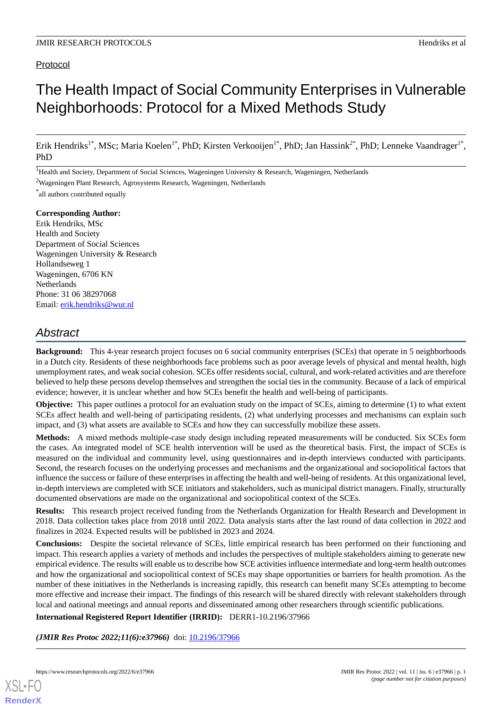# Protocol

# The Health Impact of Social Community Enterprises in Vulnerable Neighborhoods: Protocol for a Mixed Methods Study

Erik Hendriks<sup>1\*</sup>, MSc; Maria Koelen<sup>1\*</sup>, PhD; Kirsten Verkooijen<sup>1\*</sup>, PhD; Jan Hassink<sup>2\*</sup>, PhD; Lenneke Vaandrager<sup>1\*</sup>, PhD

<sup>1</sup>Health and Society, Department of Social Sciences, Wageningen University & Research, Wageningen, Netherlands

<sup>2</sup>Wageningen Plant Research, Agrosystems Research, Wageningen, Netherlands

\* all authors contributed equally

#### **Corresponding Author:**

Erik Hendriks, MSc Health and Society Department of Social Sciences Wageningen University & Research Hollandseweg 1 Wageningen, 6706 KN **Netherlands** Phone: 31 06 38297068 Email: [erik.hendriks@wur.nl](mailto:erik.hendriks@wur.nl)

# *Abstract*

**Background:** This 4-year research project focuses on 6 social community enterprises (SCEs) that operate in 5 neighborhoods in a Dutch city. Residents of these neighborhoods face problems such as poor average levels of physical and mental health, high unemployment rates, and weak social cohesion. SCEs offer residents social, cultural, and work-related activities and are therefore believed to help these persons develop themselves and strengthen the social ties in the community. Because of a lack of empirical evidence; however, it is unclear whether and how SCEs benefit the health and well-being of participants.

**Objective:** This paper outlines a protocol for an evaluation study on the impact of SCEs, aiming to determine (1) to what extent SCEs affect health and well-being of participating residents, (2) what underlying processes and mechanisms can explain such impact, and (3) what assets are available to SCEs and how they can successfully mobilize these assets.

**Methods:** A mixed methods multiple-case study design including repeated measurements will be conducted. Six SCEs form the cases. An integrated model of SCE health intervention will be used as the theoretical basis. First, the impact of SCEs is measured on the individual and community level, using questionnaires and in-depth interviews conducted with participants. Second, the research focuses on the underlying processes and mechanisms and the organizational and sociopolitical factors that influence the success or failure of these enterprises in affecting the health and well-being of residents. At this organizational level, in-depth interviews are completed with SCE initiators and stakeholders, such as municipal district managers. Finally, structurally documented observations are made on the organizational and sociopolitical context of the SCEs.

**Results:** This research project received funding from the Netherlands Organization for Health Research and Development in 2018. Data collection takes place from 2018 until 2022. Data analysis starts after the last round of data collection in 2022 and finalizes in 2024. Expected results will be published in 2023 and 2024.

**Conclusions:** Despite the societal relevance of SCEs, little empirical research has been performed on their functioning and impact. This research applies a variety of methods and includes the perspectives of multiple stakeholders aiming to generate new empirical evidence. The results will enable us to describe how SCE activities influence intermediate and long-term health outcomes and how the organizational and sociopolitical context of SCEs may shape opportunities or barriers for health promotion. As the number of these initiatives in the Netherlands is increasing rapidly, this research can benefit many SCEs attempting to become more effective and increase their impact. The findings of this research will be shared directly with relevant stakeholders through local and national meetings and annual reports and disseminated among other researchers through scientific publications.

**International Registered Report Identifier (IRRID):** DERR1-10.2196/37966

*(JMIR Res Protoc 2022;11(6):e37966)* doi: [10.2196/37966](http://dx.doi.org/10.2196/37966)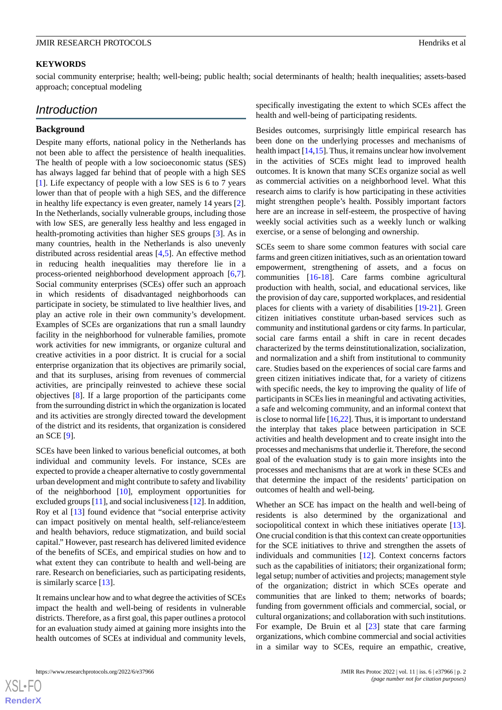#### **KEYWORDS**

social community enterprise; health; well-being; public health; social determinants of health; health inequalities; assets-based approach; conceptual modeling

# *Introduction*

#### **Background**

Despite many efforts, national policy in the Netherlands has not been able to affect the persistence of health inequalities. The health of people with a low socioeconomic status (SES) has always lagged far behind that of people with a high SES [[1\]](#page-7-0). Life expectancy of people with a low SES is 6 to 7 years lower than that of people with a high SES, and the difference in healthy life expectancy is even greater, namely 14 years [[2\]](#page-8-0). In the Netherlands, socially vulnerable groups, including those with low SES, are generally less healthy and less engaged in health-promoting activities than higher SES groups [\[3](#page-8-1)]. As in many countries, health in the Netherlands is also unevenly distributed across residential areas [[4,](#page-8-2)[5](#page-8-3)]. An effective method in reducing health inequalities may therefore lie in a process-oriented neighborhood development approach [\[6](#page-8-4),[7\]](#page-8-5). Social community enterprises (SCEs) offer such an approach in which residents of disadvantaged neighborhoods can participate in society, be stimulated to live healthier lives, and play an active role in their own community's development. Examples of SCEs are organizations that run a small laundry facility in the neighborhood for vulnerable families, promote work activities for new immigrants, or organize cultural and creative activities in a poor district. It is crucial for a social enterprise organization that its objectives are primarily social, and that its surpluses, arising from revenues of commercial activities, are principally reinvested to achieve these social objectives [[8\]](#page-8-6). If a large proportion of the participants come from the surrounding district in which the organization is located and its activities are strongly directed toward the development of the district and its residents, that organization is considered an SCE [[9\]](#page-8-7).

SCEs have been linked to various beneficial outcomes, at both individual and community levels. For instance, SCEs are expected to provide a cheaper alternative to costly governmental urban development and might contribute to safety and livability of the neighborhood [[10\]](#page-8-8), employment opportunities for excluded groups [\[11](#page-8-9)], and social inclusiveness [[12\]](#page-8-10). In addition, Roy et al [\[13](#page-8-11)] found evidence that "social enterprise activity can impact positively on mental health, self-reliance/esteem and health behaviors, reduce stigmatization, and build social capital." However, past research has delivered limited evidence of the benefits of SCEs, and empirical studies on how and to what extent they can contribute to health and well-being are rare. Research on beneficiaries, such as participating residents, is similarly scarce [[13\]](#page-8-11).

It remains unclear how and to what degree the activities of SCEs impact the health and well-being of residents in vulnerable districts. Therefore, as a first goal, this paper outlines a protocol for an evaluation study aimed at gaining more insights into the health outcomes of SCEs at individual and community levels, specifically investigating the extent to which SCEs affect the health and well-being of participating residents.

Besides outcomes, surprisingly little empirical research has been done on the underlying processes and mechanisms of health impact  $[14,15]$  $[14,15]$  $[14,15]$  $[14,15]$ . Thus, it remains unclear how involvement in the activities of SCEs might lead to improved health outcomes. It is known that many SCEs organize social as well as commercial activities on a neighborhood level. What this research aims to clarify is how participating in these activities might strengthen people's health. Possibly important factors here are an increase in self-esteem, the prospective of having weekly social activities such as a weekly lunch or walking exercise, or a sense of belonging and ownership.

SCEs seem to share some common features with social care farms and green citizen initiatives, such as an orientation toward empowerment, strengthening of assets, and a focus on communities [\[16](#page-8-14)[-18](#page-8-15)]. Care farms combine agricultural production with health, social, and educational services, like the provision of day care, supported workplaces, and residential places for clients with a variety of disabilities [\[19](#page-8-16)[-21](#page-8-17)]. Green citizen initiatives constitute urban-based services such as community and institutional gardens or city farms. In particular, social care farms entail a shift in care in recent decades characterized by the terms deinstitutionalization, socialization, and normalization and a shift from institutional to community care. Studies based on the experiences of social care farms and green citizen initiatives indicate that, for a variety of citizens with specific needs, the key to improving the quality of life of participants in SCEs lies in meaningful and activating activities, a safe and welcoming community, and an informal context that is close to normal life [\[16](#page-8-14),[22](#page-8-18)]. Thus, it is important to understand the interplay that takes place between participation in SCE activities and health development and to create insight into the processes and mechanisms that underlie it. Therefore, the second goal of the evaluation study is to gain more insights into the processes and mechanisms that are at work in these SCEs and that determine the impact of the residents' participation on outcomes of health and well-being.

Whether an SCE has impact on the health and well-being of residents is also determined by the organizational and sociopolitical context in which these initiatives operate [[13\]](#page-8-11). One crucial condition is that this context can create opportunities for the SCE initiatives to thrive and strengthen the assets of individuals and communities [\[12](#page-8-10)]. Context concerns factors such as the capabilities of initiators; their organizational form; legal setup; number of activities and projects; management style of the organization; district in which SCEs operate and communities that are linked to them; networks of boards; funding from government officials and commercial, social, or cultural organizations; and collaboration with such institutions. For example, De Bruin et al [\[23](#page-8-19)] state that care farming organizations, which combine commercial and social activities in a similar way to SCEs, require an empathic, creative,

 $XS$  • FO **[RenderX](http://www.renderx.com/)**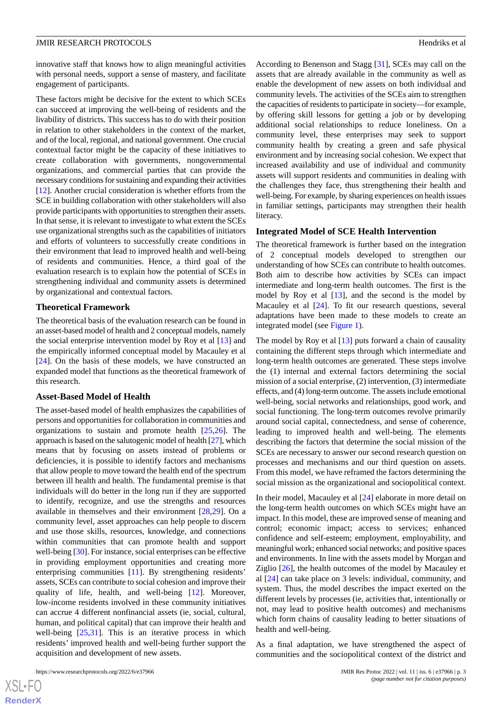innovative staff that knows how to align meaningful activities with personal needs, support a sense of mastery, and facilitate engagement of participants.

These factors might be decisive for the extent to which SCEs can succeed at improving the well-being of residents and the livability of districts. This success has to do with their position in relation to other stakeholders in the context of the market, and of the local, regional, and national government. One crucial contextual factor might be the capacity of these initiatives to create collaboration with governments, nongovernmental organizations, and commercial parties that can provide the necessary conditions for sustaining and expanding their activities [[12\]](#page-8-10). Another crucial consideration is whether efforts from the SCE in building collaboration with other stakeholders will also provide participants with opportunities to strengthen their assets. In that sense, it is relevant to investigate to what extent the SCEs use organizational strengths such as the capabilities of initiators and efforts of volunteers to successfully create conditions in their environment that lead to improved health and well-being of residents and communities. Hence, a third goal of the evaluation research is to explain how the potential of SCEs in strengthening individual and community assets is determined by organizational and contextual factors.

#### **Theoretical Framework**

The theoretical basis of the evaluation research can be found in an asset-based model of health and 2 conceptual models, namely the social enterprise intervention model by Roy et al [[13\]](#page-8-11) and the empirically informed conceptual model by Macauley et al [[24\]](#page-8-20). On the basis of these models, we have constructed an expanded model that functions as the theoretical framework of this research.

#### **Asset-Based Model of Health**

The asset-based model of health emphasizes the capabilities of persons and opportunities for collaboration in communities and organizations to sustain and promote health [[25](#page-8-21)[,26](#page-8-22)]. The approach is based on the salutogenic model of health [\[27](#page-8-23)], which means that by focusing on assets instead of problems or deficiencies, it is possible to identify factors and mechanisms that allow people to move toward the health end of the spectrum between ill health and health. The fundamental premise is that individuals will do better in the long run if they are supported to identify, recognize, and use the strengths and resources available in themselves and their environment [\[28](#page-9-0),[29\]](#page-9-1). On a community level, asset approaches can help people to discern and use those skills, resources, knowledge, and connections within communities that can promote health and support well-being [\[30](#page-9-2)]. For instance, social enterprises can be effective in providing employment opportunities and creating more enterprising communities [[11\]](#page-8-9). By strengthening residents' assets, SCEs can contribute to social cohesion and improve their quality of life, health, and well-being [\[12](#page-8-10)]. Moreover, low-income residents involved in these community initiatives can accrue 4 different nonfinancial assets (ie, social, cultural, human, and political capital) that can improve their health and well-being [\[25](#page-8-21),[31\]](#page-9-3). This is an iterative process in which residents' improved health and well-being further support the acquisition and development of new assets.

According to Benenson and Stagg [\[31](#page-9-3)], SCEs may call on the assets that are already available in the community as well as enable the development of new assets on both individual and community levels. The activities of the SCEs aim to strengthen the capacities of residents to participate in society—for example, by offering skill lessons for getting a job or by developing additional social relationships to reduce loneliness. On a community level, these enterprises may seek to support community health by creating a green and safe physical environment and by increasing social cohesion. We expect that increased availability and use of individual and community assets will support residents and communities in dealing with the challenges they face, thus strengthening their health and well-being. For example, by sharing experiences on health issues in familiar settings, participants may strengthen their health literacy.

#### **Integrated Model of SCE Health Intervention**

The theoretical framework is further based on the integration of 2 conceptual models developed to strengthen our understanding of how SCEs can contribute to health outcomes. Both aim to describe how activities by SCEs can impact intermediate and long-term health outcomes. The first is the model by Roy et al  $[13]$  $[13]$ , and the second is the model by Macauley et al [[24\]](#page-8-20). To fit our research questions, several adaptations have been made to these models to create an integrated model (see [Figure 1\)](#page-3-0).

The model by Roy et al  $[13]$  $[13]$  puts forward a chain of causality containing the different steps through which intermediate and long-term health outcomes are generated. These steps involve the (1) internal and external factors determining the social mission of a social enterprise, (2) intervention, (3) intermediate effects, and (4) long-term outcome. The assets include emotional well-being, social networks and relationships, good work, and social functioning. The long-term outcomes revolve primarily around social capital, connectedness, and sense of coherence, leading to improved health and well-being. The elements describing the factors that determine the social mission of the SCEs are necessary to answer our second research question on processes and mechanisms and our third question on assets. From this model, we have reframed the factors determining the social mission as the organizational and sociopolitical context.

In their model, Macauley et al [[24\]](#page-8-20) elaborate in more detail on the long-term health outcomes on which SCEs might have an impact. In this model, these are improved sense of meaning and control; economic impact; access to services; enhanced confidence and self-esteem; employment, employability, and meaningful work; enhanced social networks; and positive spaces and environments. In line with the assets model by Morgan and Ziglio [\[26](#page-8-22)], the health outcomes of the model by Macauley et al [\[24](#page-8-20)] can take place on 3 levels: individual, community, and system. Thus, the model describes the impact exerted on the different levels by processes (ie, activities that, intentionally or not, may lead to positive health outcomes) and mechanisms which form chains of causality leading to better situations of health and well-being.

As a final adaptation, we have strengthened the aspect of communities and the sociopolitical context of the district and

 $XSJ \cdot F$ **[RenderX](http://www.renderx.com/)**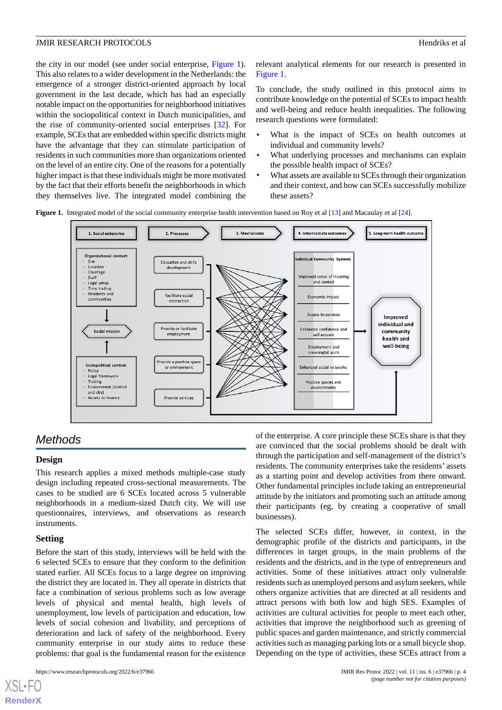the city in our model (see under social enterprise, [Figure 1\)](#page-3-0). This also relates to a wider development in the Netherlands: the emergence of a stronger district-oriented approach by local government in the last decade, which has had an especially notable impact on the opportunities for neighborhood initiatives within the sociopolitical context in Dutch municipalities, and the rise of community-oriented social enterprises [\[32](#page-9-4)]. For example, SCEs that are embedded within specific districts might have the advantage that they can stimulate participation of residents in such communities more than organizations oriented on the level of an entire city. One of the reasons for a potentially higher impact is that these individuals might be more motivated by the fact that their efforts benefit the neighborhoods in which they themselves live. The integrated model combining the

relevant analytical elements for our research is presented in [Figure 1](#page-3-0).

To conclude, the study outlined in this protocol aims to contribute knowledge on the potential of SCEs to impact health and well-being and reduce health inequalities. The following research questions were formulated:

- What is the impact of SCEs on health outcomes at individual and community levels?
- What underlying processes and mechanisms can explain the possible health impact of SCEs?
- What assets are available to SCEs through their organization and their context, and how can SCEs successfully mobilize these assets?

<span id="page-3-0"></span>**Figure 1.** Integrated model of the social community enterprise health intervention based on Roy et al [[13](#page-8-11)] and Macaulay et al [[24](#page-8-20)].



# *Methods*

# **Design**

This research applies a mixed methods multiple-case study design including repeated cross-sectional measurements. The cases to be studied are 6 SCEs located across 5 vulnerable neighborhoods in a medium-sized Dutch city. We will use questionnaires, interviews, and observations as research instruments.

# **Setting**

 $XS$  • FC **[RenderX](http://www.renderx.com/)**

Before the start of this study, interviews will be held with the 6 selected SCEs to ensure that they conform to the definition stated earlier. All SCEs focus to a large degree on improving the district they are located in. They all operate in districts that face a combination of serious problems such as low average levels of physical and mental health, high levels of unemployment, low levels of participation and education, low levels of social cohesion and livability, and perceptions of deterioration and lack of safety of the neighborhood. Every community enterprise in our study aims to reduce these problems: that goal is the fundamental reason for the existence

of the enterprise. A core principle these SCEs share is that they are convinced that the social problems should be dealt with through the participation and self-management of the district's residents. The community enterprises take the residents' assets as a starting point and develop activities from there onward. Other fundamental principles include taking an entrepreneurial attitude by the initiators and promoting such an attitude among their participants (eg, by creating a cooperative of small businesses).

The selected SCEs differ, however, in context, in the demographic profile of the districts and participants, in the differences in target groups, in the main problems of the residents and the districts, and in the type of entrepreneurs and activities. Some of these initiatives attract only vulnerable residents such as unemployed persons and asylum seekers, while others organize activities that are directed at all residents and attract persons with both low and high SES. Examples of activities are cultural activities for people to meet each other, activities that improve the neighborhood such as greening of public spaces and garden maintenance, and strictly commercial activities such as managing parking lots or a small bicycle shop. Depending on the type of activities, these SCEs attract from a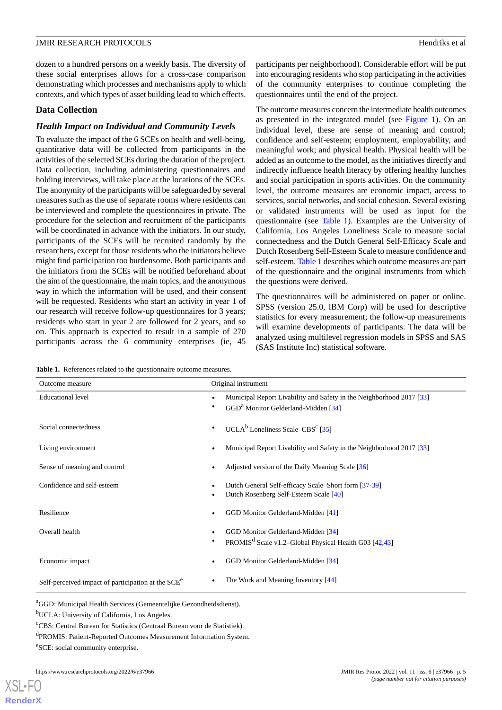dozen to a hundred persons on a weekly basis. The diversity of these social enterprises allows for a cross-case comparison demonstrating which processes and mechanisms apply to which contexts, and which types of asset building lead to which effects.

# **Data Collection**

# *Health Impact on Individual and Community Levels*

To evaluate the impact of the 6 SCEs on health and well-being, quantitative data will be collected from participants in the activities of the selected SCEs during the duration of the project. Data collection, including administering questionnaires and holding interviews, will take place at the locations of the SCEs. The anonymity of the participants will be safeguarded by several measures such as the use of separate rooms where residents can be interviewed and complete the questionnaires in private. The procedure for the selection and recruitment of the participants will be coordinated in advance with the initiators. In our study, participants of the SCEs will be recruited randomly by the researchers, except for those residents who the initiators believe might find participation too burdensome. Both participants and the initiators from the SCEs will be notified beforehand about the aim of the questionnaire, the main topics, and the anonymous way in which the information will be used, and their consent will be requested. Residents who start an activity in year 1 of our research will receive follow-up questionnaires for 3 years; residents who start in year 2 are followed for 2 years, and so on. This approach is expected to result in a sample of 270 participants across the 6 community enterprises (ie, 45

participants per neighborhood). Considerable effort will be put into encouraging residents who stop participating in the activities of the community enterprises to continue completing the questionnaires until the end of the project.

The outcome measures concern the intermediate health outcomes as presented in the integrated model (see [Figure 1\)](#page-3-0). On an individual level, these are sense of meaning and control; confidence and self-esteem; employment, employability, and meaningful work; and physical health. Physical health will be added as an outcome to the model, as the initiatives directly and indirectly influence health literacy by offering healthy lunches and social participation in sports activities. On the community level, the outcome measures are economic impact, access to services, social networks, and social cohesion. Several existing or validated instruments will be used as input for the questionnaire (see [Table 1\)](#page-4-0). Examples are the University of California, Los Angeles Loneliness Scale to measure social connectedness and the Dutch General Self-Efficacy Scale and Dutch Rosenberg Self-Esteem Scale to measure confidence and self-esteem. [Table 1](#page-4-0) describes which outcome measures are part of the questionnaire and the original instruments from which the questions were derived.

The questionnaires will be administered on paper or online. SPSS (version 25.0, IBM Corp) will be used for descriptive statistics for every measurement; the follow-up measurements will examine developments of participants. The data will be analyzed using multilevel regression models in SPSS and SAS (SAS Institute Inc) statistical software.

<span id="page-4-0"></span>**Table 1.** References related to the questionnaire outcome measures.

| Outcome measure                                                | Original instrument                                                                                                                  |
|----------------------------------------------------------------|--------------------------------------------------------------------------------------------------------------------------------------|
| <b>Educational level</b>                                       | Municipal Report Livability and Safety in the Neighborhood 2017 [33]<br>$\bullet$<br>GGD <sup>a</sup> Monitor Gelderland-Midden [34] |
| Social connectedness                                           | UCLA <sup>b</sup> Loneliness Scale–CBS <sup>c</sup> [35]                                                                             |
| Living environment                                             | Municipal Report Livability and Safety in the Neighborhood 2017 [33]<br>$\bullet$                                                    |
| Sense of meaning and control                                   | Adjusted version of the Daily Meaning Scale [36]                                                                                     |
| Confidence and self-esteem                                     | Dutch General Self-efficacy Scale–Short form [37-39]<br>Dutch Rosenberg Self-Esteem Scale [40]                                       |
| Resilience                                                     | GGD Monitor Gelderland-Midden [41]                                                                                                   |
| Overall health                                                 | GGD Monitor Gelderland-Midden [34]<br>PROMIS <sup>d</sup> Scale v1.2–Global Physical Health G03 [42,43]                              |
| Economic impact                                                | GGD Monitor Gelderland-Midden [34]                                                                                                   |
| Self-perceived impact of participation at the SCE <sup>e</sup> | The Work and Meaning Inventory [44]                                                                                                  |

<sup>a</sup>GGD: Municipal Health Services (Gemeentelijke Gezondheidsdienst).

<sup>b</sup>UCLA: University of California, Los Angeles.

<sup>c</sup>CBS: Central Bureau for Statistics (Centraal Bureau voor de Statistiek).

d PROMIS: Patient-Reported Outcomes Measurement Information System.

e SCE: social community enterprise.

[XSL](http://www.w3.org/Style/XSL)•FO **[RenderX](http://www.renderx.com/)**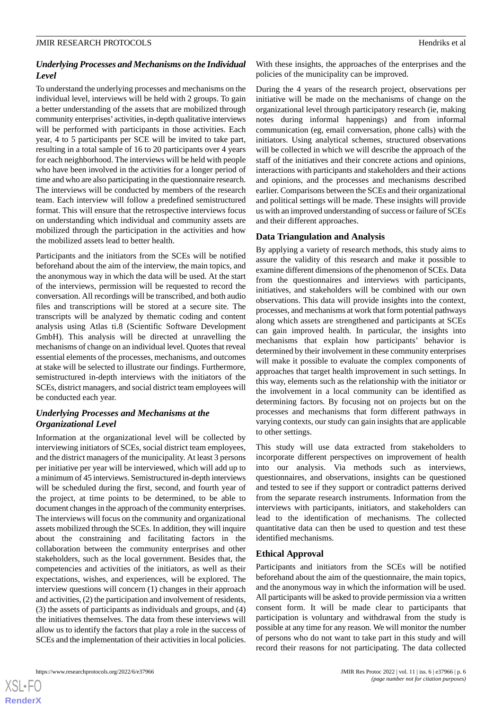# *Underlying Processes and Mechanisms on the Individual Level*

To understand the underlying processes and mechanisms on the individual level, interviews will be held with 2 groups. To gain a better understanding of the assets that are mobilized through community enterprises'activities, in-depth qualitative interviews will be performed with participants in those activities. Each year, 4 to 5 participants per SCE will be invited to take part, resulting in a total sample of 16 to 20 participants over 4 years for each neighborhood. The interviews will be held with people who have been involved in the activities for a longer period of time and who are also participating in the questionnaire research. The interviews will be conducted by members of the research team. Each interview will follow a predefined semistructured format. This will ensure that the retrospective interviews focus on understanding which individual and community assets are mobilized through the participation in the activities and how the mobilized assets lead to better health.

Participants and the initiators from the SCEs will be notified beforehand about the aim of the interview, the main topics, and the anonymous way in which the data will be used. At the start of the interviews, permission will be requested to record the conversation. All recordings will be transcribed, and both audio files and transcriptions will be stored at a secure site. The transcripts will be analyzed by thematic coding and content analysis using Atlas ti.8 (Scientific Software Development GmbH). This analysis will be directed at unravelling the mechanisms of change on an individual level. Quotes that reveal essential elements of the processes, mechanisms, and outcomes at stake will be selected to illustrate our findings. Furthermore, semistructured in-depth interviews with the initiators of the SCEs, district managers, and social district team employees will be conducted each year.

# *Underlying Processes and Mechanisms at the Organizational Level*

Information at the organizational level will be collected by interviewing initiators of SCEs, social district team employees, and the district managers of the municipality. At least 3 persons per initiative per year will be interviewed, which will add up to a minimum of 45 interviews. Semistructured in-depth interviews will be scheduled during the first, second, and fourth year of the project, at time points to be determined, to be able to document changes in the approach of the community enterprises. The interviews will focus on the community and organizational assets mobilized through the SCEs. In addition, they will inquire about the constraining and facilitating factors in the collaboration between the community enterprises and other stakeholders, such as the local government. Besides that, the competencies and activities of the initiators, as well as their expectations, wishes, and experiences, will be explored. The interview questions will concern (1) changes in their approach and activities, (2) the participation and involvement of residents, (3) the assets of participants as individuals and groups, and (4) the initiatives themselves. The data from these interviews will allow us to identify the factors that play a role in the success of SCEs and the implementation of their activities in local policies.

With these insights, the approaches of the enterprises and the policies of the municipality can be improved.

During the 4 years of the research project, observations per initiative will be made on the mechanisms of change on the organizational level through participatory research (ie, making notes during informal happenings) and from informal communication (eg, email conversation, phone calls) with the initiators. Using analytical schemes, structured observations will be collected in which we will describe the approach of the staff of the initiatives and their concrete actions and opinions, interactions with participants and stakeholders and their actions and opinions, and the processes and mechanisms described earlier. Comparisons between the SCEs and their organizational and political settings will be made. These insights will provide us with an improved understanding of success or failure of SCEs and their different approaches.

# **Data Triangulation and Analysis**

By applying a variety of research methods, this study aims to assure the validity of this research and make it possible to examine different dimensions of the phenomenon of SCEs. Data from the questionnaires and interviews with participants, initiatives, and stakeholders will be combined with our own observations. This data will provide insights into the context, processes, and mechanisms at work that form potential pathways along which assets are strengthened and participants at SCEs can gain improved health. In particular, the insights into mechanisms that explain how participants' behavior is determined by their involvement in these community enterprises will make it possible to evaluate the complex components of approaches that target health improvement in such settings. In this way, elements such as the relationship with the initiator or the involvement in a local community can be identified as determining factors. By focusing not on projects but on the processes and mechanisms that form different pathways in varying contexts, our study can gain insights that are applicable to other settings.

This study will use data extracted from stakeholders to incorporate different perspectives on improvement of health into our analysis. Via methods such as interviews, questionnaires, and observations, insights can be questioned and tested to see if they support or contradict patterns derived from the separate research instruments. Information from the interviews with participants, initiators, and stakeholders can lead to the identification of mechanisms. The collected quantitative data can then be used to question and test these identified mechanisms.

# **Ethical Approval**

Participants and initiators from the SCEs will be notified beforehand about the aim of the questionnaire, the main topics, and the anonymous way in which the information will be used. All participants will be asked to provide permission via a written consent form. It will be made clear to participants that participation is voluntary and withdrawal from the study is possible at any time for any reason. We will monitor the number of persons who do not want to take part in this study and will record their reasons for not participating. The data collected

 $XS$ -FO **[RenderX](http://www.renderx.com/)**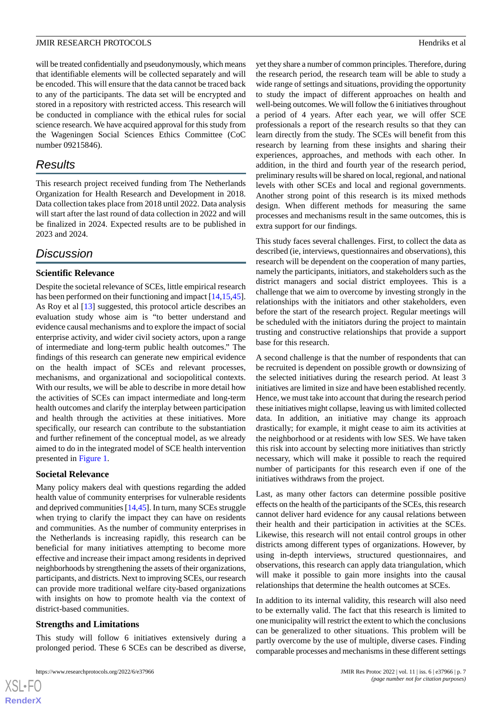will be treated confidentially and pseudonymously, which means that identifiable elements will be collected separately and will be encoded. This will ensure that the data cannot be traced back to any of the participants. The data set will be encrypted and stored in a repository with restricted access. This research will be conducted in compliance with the ethical rules for social science research. We have acquired approval for this study from the Wageningen Social Sciences Ethics Committee (CoC number 09215846).

# *Results*

This research project received funding from The Netherlands Organization for Health Research and Development in 2018. Data collection takes place from 2018 until 2022. Data analysis will start after the last round of data collection in 2022 and will be finalized in 2024. Expected results are to be published in 2023 and 2024.

# *Discussion*

## **Scientific Relevance**

Despite the societal relevance of SCEs, little empirical research has been performed on their functioning and impact [[14](#page-8-12)[,15](#page-8-13),[45\]](#page-9-16). As Roy et al [[13\]](#page-8-11) suggested, this protocol article describes an evaluation study whose aim is "to better understand and evidence causal mechanisms and to explore the impact of social enterprise activity, and wider civil society actors, upon a range of intermediate and long-term public health outcomes." The findings of this research can generate new empirical evidence on the health impact of SCEs and relevant processes, mechanisms, and organizational and sociopolitical contexts. With our results, we will be able to describe in more detail how the activities of SCEs can impact intermediate and long-term health outcomes and clarify the interplay between participation and health through the activities at these initiatives. More specifically, our research can contribute to the substantiation and further refinement of the conceptual model, as we already aimed to do in the integrated model of SCE health intervention presented in [Figure 1](#page-3-0).

#### **Societal Relevance**

Many policy makers deal with questions regarding the added health value of community enterprises for vulnerable residents and deprived communities [\[14](#page-8-12),[45\]](#page-9-16). In turn, many SCEs struggle when trying to clarify the impact they can have on residents and communities. As the number of community enterprises in the Netherlands is increasing rapidly, this research can be beneficial for many initiatives attempting to become more effective and increase their impact among residents in deprived neighborhoods by strengthening the assets of their organizations, participants, and districts. Next to improving SCEs, our research can provide more traditional welfare city-based organizations with insights on how to promote health via the context of district-based communities.

#### **Strengths and Limitations**

This study will follow 6 initiatives extensively during a prolonged period. These 6 SCEs can be described as diverse,

yet they share a number of common principles. Therefore, during the research period, the research team will be able to study a wide range of settings and situations, providing the opportunity to study the impact of different approaches on health and well-being outcomes. We will follow the 6 initiatives throughout a period of 4 years. After each year, we will offer SCE professionals a report of the research results so that they can learn directly from the study. The SCEs will benefit from this research by learning from these insights and sharing their experiences, approaches, and methods with each other. In addition, in the third and fourth year of the research period, preliminary results will be shared on local, regional, and national levels with other SCEs and local and regional governments. Another strong point of this research is its mixed methods design. When different methods for measuring the same processes and mechanisms result in the same outcomes, this is extra support for our findings.

This study faces several challenges. First, to collect the data as described (ie, interviews, questionnaires and observations), this research will be dependent on the cooperation of many parties, namely the participants, initiators, and stakeholders such as the district managers and social district employees. This is a challenge that we aim to overcome by investing strongly in the relationships with the initiators and other stakeholders, even before the start of the research project. Regular meetings will be scheduled with the initiators during the project to maintain trusting and constructive relationships that provide a support base for this research.

A second challenge is that the number of respondents that can be recruited is dependent on possible growth or downsizing of the selected initiatives during the research period. At least 3 initiatives are limited in size and have been established recently. Hence, we must take into account that during the research period these initiatives might collapse, leaving us with limited collected data. In addition, an initiative may change its approach drastically; for example, it might cease to aim its activities at the neighborhood or at residents with low SES. We have taken this risk into account by selecting more initiatives than strictly necessary, which will make it possible to reach the required number of participants for this research even if one of the initiatives withdraws from the project.

Last, as many other factors can determine possible positive effects on the health of the participants of the SCEs, this research cannot deliver hard evidence for any causal relations between their health and their participation in activities at the SCEs. Likewise, this research will not entail control groups in other districts among different types of organizations. However, by using in-depth interviews, structured questionnaires, and observations, this research can apply data triangulation, which will make it possible to gain more insights into the causal relationships that determine the health outcomes at SCEs.

In addition to its internal validity, this research will also need to be externally valid. The fact that this research is limited to one municipality will restrict the extent to which the conclusions can be generalized to other situations. This problem will be partly overcome by the use of multiple, diverse cases. Finding comparable processes and mechanisms in these different settings

```
XS-FO
RenderX
```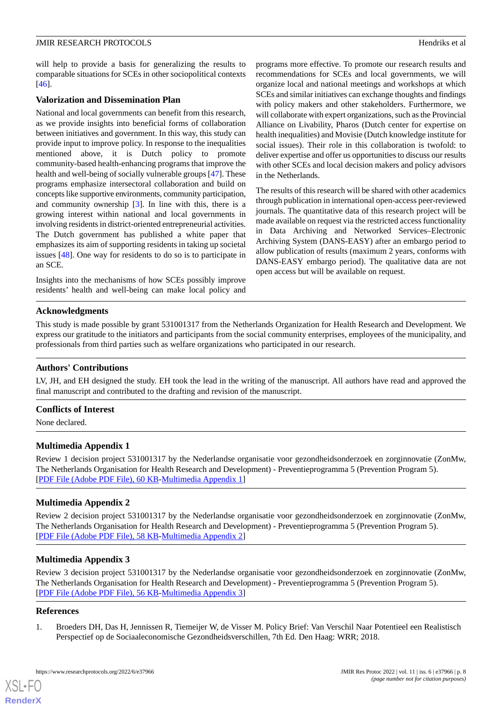will help to provide a basis for generalizing the results to comparable situations for SCEs in other sociopolitical contexts [[46\]](#page-9-17).

### **Valorization and Dissemination Plan**

National and local governments can benefit from this research, as we provide insights into beneficial forms of collaboration between initiatives and government. In this way, this study can provide input to improve policy. In response to the inequalities mentioned above, it is Dutch policy to promote community-based health-enhancing programs that improve the health and well-being of socially vulnerable groups [[47\]](#page-9-18). These programs emphasize intersectoral collaboration and build on concepts like supportive environments, community participation, and community ownership [[3\]](#page-8-1). In line with this, there is a growing interest within national and local governments in involving residents in district-oriented entrepreneurial activities. The Dutch government has published a white paper that emphasizes its aim of supporting residents in taking up societal issues [[48\]](#page-9-19). One way for residents to do so is to participate in an SCE.

Insights into the mechanisms of how SCEs possibly improve residents' health and well-being can make local policy and programs more effective. To promote our research results and recommendations for SCEs and local governments, we will organize local and national meetings and workshops at which SCEs and similar initiatives can exchange thoughts and findings with policy makers and other stakeholders. Furthermore, we will collaborate with expert organizations, such as the Provincial Alliance on Livability, Pharos (Dutch center for expertise on health inequalities) and Movisie (Dutch knowledge institute for social issues). Their role in this collaboration is twofold: to deliver expertise and offer us opportunities to discuss our results with other SCEs and local decision makers and policy advisors in the Netherlands.

The results of this research will be shared with other academics through publication in international open-access peer-reviewed journals. The quantitative data of this research project will be made available on request via the restricted access functionality in Data Archiving and Networked Services–Electronic Archiving System (DANS-EASY) after an embargo period to allow publication of results (maximum 2 years, conforms with DANS-EASY embargo period). The qualitative data are not open access but will be available on request.

## **Acknowledgments**

This study is made possible by grant 531001317 from the Netherlands Organization for Health Research and Development. We express our gratitude to the initiators and participants from the social community enterprises, employees of the municipality, and professionals from third parties such as welfare organizations who participated in our research.

# **Authors' Contributions**

LV, JH, and EH designed the study. EH took the lead in the writing of the manuscript. All authors have read and approved the final manuscript and contributed to the drafting and revision of the manuscript.

#### **Conflicts of Interest**

None declared.

# **Multimedia Appendix 1**

Review 1 decision project 531001317 by the Nederlandse organisatie voor gezondheidsonderzoek en zorginnovatie (ZonMw, The Netherlands Organisation for Health Research and Development) - Preventieprogramma 5 (Prevention Program 5). [[PDF File \(Adobe PDF File\), 60 KB](https://jmir.org/api/download?alt_name=resprot_v11i6e37966_app1.pdf&filename=3cdcfe18de5535c4ef63e86ad7629e6c.pdf)-[Multimedia Appendix 1\]](https://jmir.org/api/download?alt_name=resprot_v11i6e37966_app1.pdf&filename=3cdcfe18de5535c4ef63e86ad7629e6c.pdf)

# **Multimedia Appendix 2**

Review 2 decision project 531001317 by the Nederlandse organisatie voor gezondheidsonderzoek en zorginnovatie (ZonMw, The Netherlands Organisation for Health Research and Development) - Preventieprogramma 5 (Prevention Program 5). [[PDF File \(Adobe PDF File\), 58 KB](https://jmir.org/api/download?alt_name=resprot_v11i6e37966_app2.pdf&filename=30c4061ede0cae0b1cedf42db7c57f4f.pdf)-[Multimedia Appendix 2\]](https://jmir.org/api/download?alt_name=resprot_v11i6e37966_app2.pdf&filename=30c4061ede0cae0b1cedf42db7c57f4f.pdf)

#### <span id="page-7-0"></span>**Multimedia Appendix 3**

Review 3 decision project 531001317 by the Nederlandse organisatie voor gezondheidsonderzoek en zorginnovatie (ZonMw, The Netherlands Organisation for Health Research and Development) - Preventieprogramma 5 (Prevention Program 5). [[PDF File \(Adobe PDF File\), 56 KB](https://jmir.org/api/download?alt_name=resprot_v11i6e37966_app3.pdf&filename=fa8eb75a32851fec2dc4b7334d6f073c.pdf)-[Multimedia Appendix 3\]](https://jmir.org/api/download?alt_name=resprot_v11i6e37966_app3.pdf&filename=fa8eb75a32851fec2dc4b7334d6f073c.pdf)

#### **References**

[XSL](http://www.w3.org/Style/XSL)•FO **[RenderX](http://www.renderx.com/)**

1. Broeders DH, Das H, Jennissen R, Tiemeijer W, de Visser M. Policy Brief: Van Verschil Naar Potentieel een Realistisch Perspectief op de Sociaaleconomische Gezondheidsverschillen, 7th Ed. Den Haag: WRR; 2018.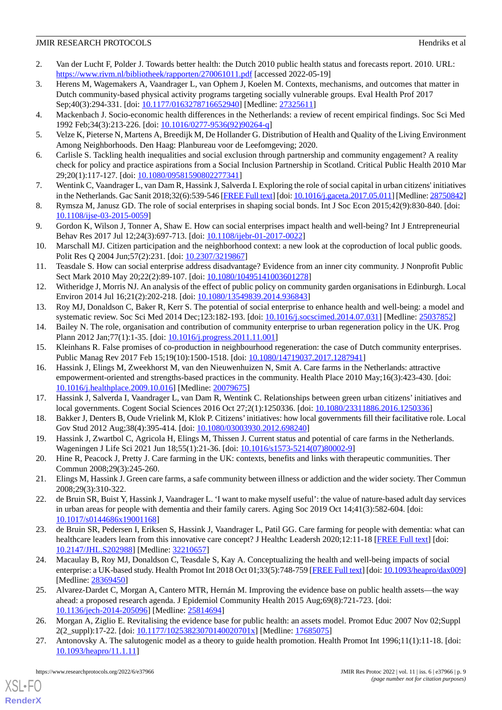- <span id="page-8-0"></span>2. Van der Lucht F, Polder J. Towards better health: the Dutch 2010 public health status and forecasts report. 2010. URL: <https://www.rivm.nl/bibliotheek/rapporten/270061011.pdf> [accessed 2022-05-19]
- <span id="page-8-1"></span>3. Herens M, Wagemakers A, Vaandrager L, van Ophem J, Koelen M. Contexts, mechanisms, and outcomes that matter in Dutch community-based physical activity programs targeting socially vulnerable groups. Eval Health Prof 2017 Sep;40(3):294-331. [doi: [10.1177/0163278716652940\]](http://dx.doi.org/10.1177/0163278716652940) [Medline: [27325611\]](http://www.ncbi.nlm.nih.gov/entrez/query.fcgi?cmd=Retrieve&db=PubMed&list_uids=27325611&dopt=Abstract)
- <span id="page-8-3"></span><span id="page-8-2"></span>4. Mackenbach J. Socio-economic health differences in the Netherlands: a review of recent empirical findings. Soc Sci Med 1992 Feb;34(3):213-226. [doi: [10.1016/0277-9536\(92\)90264-q\]](http://dx.doi.org/10.1016/0277-9536(92)90264-q)
- <span id="page-8-4"></span>5. Velze K, Pieterse N, Martens A, Breedijk M, De Hollander G. Distribution of Health and Quality of the Living Environment Among Neighborhoods. Den Haag: Planbureau voor de Leefomgeving; 2020.
- <span id="page-8-5"></span>6. Carlisle S. Tackling health inequalities and social exclusion through partnership and community engagement? A reality check for policy and practice aspirations from a Social Inclusion Partnership in Scotland. Critical Public Health 2010 Mar 29;20(1):117-127. [doi: [10.1080/09581590802277341\]](http://dx.doi.org/10.1080/09581590802277341)
- <span id="page-8-6"></span>7. Wentink C, Vaandrager L, van Dam R, Hassink J, Salverda I. Exploring the role of social capital in urban citizens' initiatives in the Netherlands. Gac Sanit 2018;32(6):539-546 [\[FREE Full text](http://www.elsevier.es/en/linksolver/ft/pii/S0213-9111(17)30148-6)] [doi: [10.1016/j.gaceta.2017.05.011\]](http://dx.doi.org/10.1016/j.gaceta.2017.05.011) [Medline: [28750842\]](http://www.ncbi.nlm.nih.gov/entrez/query.fcgi?cmd=Retrieve&db=PubMed&list_uids=28750842&dopt=Abstract)
- <span id="page-8-7"></span>8. Rymsza M, Janusz GD. The role of social enterprises in shaping social bonds. Int J Soc Econ 2015;42(9):830-840. [doi: [10.1108/ijse-03-2015-0059\]](http://dx.doi.org/10.1108/ijse-03-2015-0059)
- <span id="page-8-8"></span>9. Gordon K, Wilson J, Tonner A, Shaw E. How can social enterprises impact health and well-being? Int J Entrepreneurial Behav Res 2017 Jul 12;24(3):697-713. [doi: [10.1108/ijebr-01-2017-0022\]](http://dx.doi.org/10.1108/ijebr-01-2017-0022)
- <span id="page-8-9"></span>10. Marschall MJ. Citizen participation and the neighborhood context: a new look at the coproduction of local public goods. Polit Res Q 2004 Jun; 57(2): 231. [doi: [10.2307/3219867](http://dx.doi.org/10.2307/3219867)]
- <span id="page-8-10"></span>11. Teasdale S. How can social enterprise address disadvantage? Evidence from an inner city community. J Nonprofit Public Sect Mark 2010 May 20;22(2):89-107. [doi: [10.1080/10495141003601278\]](http://dx.doi.org/10.1080/10495141003601278)
- <span id="page-8-12"></span><span id="page-8-11"></span>12. Witheridge J, Morris NJ. An analysis of the effect of public policy on community garden organisations in Edinburgh. Local Environ 2014 Jul 16;21(2):202-218. [doi: [10.1080/13549839.2014.936843\]](http://dx.doi.org/10.1080/13549839.2014.936843)
- <span id="page-8-13"></span>13. Roy MJ, Donaldson C, Baker R, Kerr S. The potential of social enterprise to enhance health and well-being: a model and systematic review. Soc Sci Med 2014 Dec;123:182-193. [doi: [10.1016/j.socscimed.2014.07.031\]](http://dx.doi.org/10.1016/j.socscimed.2014.07.031) [Medline: [25037852](http://www.ncbi.nlm.nih.gov/entrez/query.fcgi?cmd=Retrieve&db=PubMed&list_uids=25037852&dopt=Abstract)]
- <span id="page-8-14"></span>14. Bailey N. The role, organisation and contribution of community enterprise to urban regeneration policy in the UK. Prog Plann 2012 Jan; 77(1): 1-35. [doi: 10.1016/j.progress. 2011. 11.001]
- 15. Kleinhans R. False promises of co-production in neighbourhood regeneration: the case of Dutch community enterprises. Public Manag Rev 2017 Feb 15;19(10):1500-1518. [doi: [10.1080/14719037.2017.1287941](http://dx.doi.org/10.1080/14719037.2017.1287941)]
- <span id="page-8-15"></span>16. Hassink J, Elings M, Zweekhorst M, van den Nieuwenhuizen N, Smit A. Care farms in the Netherlands: attractive empowerment-oriented and strengths-based practices in the community. Health Place 2010 May;16(3):423-430. [doi: [10.1016/j.healthplace.2009.10.016](http://dx.doi.org/10.1016/j.healthplace.2009.10.016)] [Medline: [20079675\]](http://www.ncbi.nlm.nih.gov/entrez/query.fcgi?cmd=Retrieve&db=PubMed&list_uids=20079675&dopt=Abstract)
- <span id="page-8-16"></span>17. Hassink J, Salverda I, Vaandrager L, van Dam R, Wentink C. Relationships between green urban citizens' initiatives and local governments. Cogent Social Sciences 2016 Oct 27;2(1):1250336. [doi: [10.1080/23311886.2016.1250336\]](http://dx.doi.org/10.1080/23311886.2016.1250336)
- 18. Bakker J, Denters B, Oude Vrielink M, Klok P. Citizens'initiatives: how local governments fill their facilitative role. Local Gov Stud 2012 Aug;38(4):395-414. [doi: [10.1080/03003930.2012.698240\]](http://dx.doi.org/10.1080/03003930.2012.698240)
- <span id="page-8-17"></span>19. Hassink J, Zwartbol C, Agricola H, Elings M, Thissen J. Current status and potential of care farms in the Netherlands. Wageningen J Life Sci 2021 Jun 18;55(1):21-36. [doi: [10.1016/s1573-5214\(07\)80002-9\]](http://dx.doi.org/10.1016/s1573-5214(07)80002-9)
- <span id="page-8-18"></span>20. Hine R, Peacock J, Pretty J. Care farming in the UK: contexts, benefits and links with therapeutic communities. Ther Commun 2008;29(3):245-260.
- <span id="page-8-19"></span>21. Elings M, Hassink J. Green care farms, a safe community between illness or addiction and the wider society. Ther Commun 2008;29(3):310-322.
- <span id="page-8-20"></span>22. de Bruin SR, Buist Y, Hassink J, Vaandrager L. 'I want to make myself useful': the value of nature-based adult day services in urban areas for people with dementia and their family carers. Aging Soc 2019 Oct 14;41(3):582-604. [doi: [10.1017/s0144686x19001168\]](http://dx.doi.org/10.1017/s0144686x19001168)
- <span id="page-8-21"></span>23. de Bruin SR, Pedersen I, Eriksen S, Hassink J, Vaandrager L, Patil GG. Care farming for people with dementia: what can healthcare leaders learn from this innovative care concept? J Healthc Leadersh 2020;12:11-18 [\[FREE Full text\]](https://dx.doi.org/10.2147/JHL.S202988) [doi: [10.2147/JHL.S202988](http://dx.doi.org/10.2147/JHL.S202988)] [Medline: [32210657\]](http://www.ncbi.nlm.nih.gov/entrez/query.fcgi?cmd=Retrieve&db=PubMed&list_uids=32210657&dopt=Abstract)
- <span id="page-8-22"></span>24. Macaulay B, Roy MJ, Donaldson C, Teasdale S, Kay A. Conceptualizing the health and well-being impacts of social enterprise: a UK-based study. Health Promot Int 2018 Oct 01;33(5):748-759 [\[FREE Full text](http://europepmc.org/abstract/MED/28369450)] [doi: [10.1093/heapro/dax009\]](http://dx.doi.org/10.1093/heapro/dax009) [Medline: [28369450](http://www.ncbi.nlm.nih.gov/entrez/query.fcgi?cmd=Retrieve&db=PubMed&list_uids=28369450&dopt=Abstract)]
- <span id="page-8-23"></span>25. Alvarez-Dardet C, Morgan A, Cantero MTR, Hernán M. Improving the evidence base on public health assets—the way ahead: a proposed research agenda. J Epidemiol Community Health 2015 Aug;69(8):721-723. [doi: [10.1136/jech-2014-205096](http://dx.doi.org/10.1136/jech-2014-205096)] [Medline: [25814694\]](http://www.ncbi.nlm.nih.gov/entrez/query.fcgi?cmd=Retrieve&db=PubMed&list_uids=25814694&dopt=Abstract)
- 26. Morgan A, Ziglio E. Revitalising the evidence base for public health: an assets model. Promot Educ 2007 Nov 02;Suppl 2(2\_suppl):17-22. [doi: [10.1177/10253823070140020701x\]](http://dx.doi.org/10.1177/10253823070140020701x) [Medline: [17685075](http://www.ncbi.nlm.nih.gov/entrez/query.fcgi?cmd=Retrieve&db=PubMed&list_uids=17685075&dopt=Abstract)]
- 27. Antonovsky A. The salutogenic model as a theory to guide health promotion. Health Promot Int 1996;11(1):11-18. [doi: [10.1093/heapro/11.1.11\]](http://dx.doi.org/10.1093/heapro/11.1.11)

 $XS$  • FO **[RenderX](http://www.renderx.com/)**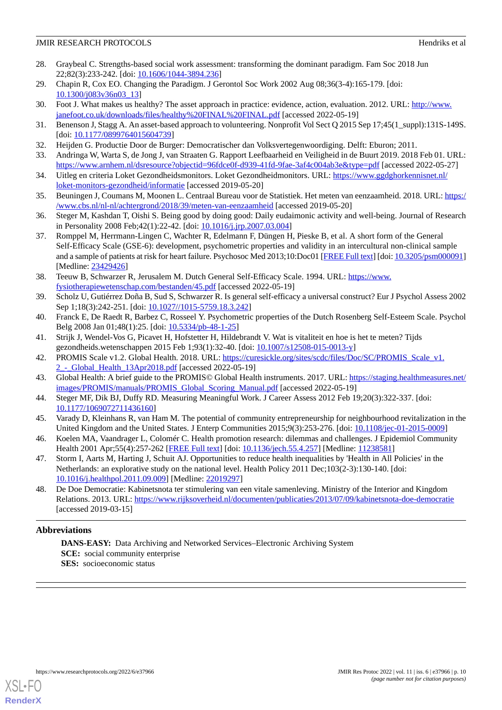- <span id="page-9-0"></span>28. Graybeal C. Strengths-based social work assessment: transforming the dominant paradigm. Fam Soc 2018 Jun 22;82(3):233-242. [doi: [10.1606/1044-3894.236\]](http://dx.doi.org/10.1606/1044-3894.236)
- <span id="page-9-2"></span><span id="page-9-1"></span>29. Chapin R, Cox EO. Changing the Paradigm. J Gerontol Soc Work 2002 Aug 08;36(3-4):165-179. [doi: [10.1300/j083v36n03\\_13\]](http://dx.doi.org/10.1300/j083v36n03_13)
- <span id="page-9-3"></span>30. Foot J. What makes us healthy? The asset approach in practice: evidence, action, evaluation. 2012. URL: [http://www.](http://www.janefoot.co.uk/downloads/files/healthy%20FINAL%20FINAL.pdf) [janefoot.co.uk/downloads/files/healthy%20FINAL%20FINAL.pdf](http://www.janefoot.co.uk/downloads/files/healthy%20FINAL%20FINAL.pdf) [accessed 2022-05-19]
- <span id="page-9-4"></span>31. Benenson J, Stagg A. An asset-based approach to volunteering. Nonprofit Vol Sect Q 2015 Sep 17;45(1\_suppl):131S-149S. [doi: [10.1177/0899764015604739](http://dx.doi.org/10.1177/0899764015604739)]
- <span id="page-9-5"></span>32. Heijden G. Productie Door de Burger: Democratischer dan Volksvertegenwoordiging. Delft: Eburon; 2011.
- <span id="page-9-6"></span>33. Andringa W, Warta S, de Jong J, van Straaten G. Rapport Leefbaarheid en Veiligheid in de Buurt 2019. 2018 Feb 01. URL: <https://www.arnhem.nl/dsresource?objectid=96fdce0f-d939-41fd-9fae-3af4c004ab3e&type=pdf> [accessed 2022-05-27]
- <span id="page-9-7"></span>34. Uitleg en criteria Loket Gezondheidsmonitors. Loket Gezondheidmonitors. URL: [https://www.ggdghorkennisnet.nl/](https://www.ggdghorkennisnet.nl/loket-monitors-gezondheid/informatie) [loket-monitors-gezondheid/informatie](https://www.ggdghorkennisnet.nl/loket-monitors-gezondheid/informatie) [accessed 2019-05-20]
- <span id="page-9-8"></span>35. Beuningen J, Coumans M, Moonen L. Centraal Bureau voor de Statistiek. Het meten van eenzaamheid. 2018. URL: [https:/](https://www.cbs.nl/nl-nl/achtergrond/2018/39/meten-van-eenzaamheid) [/www.cbs.nl/nl-nl/achtergrond/2018/39/meten-van-eenzaamheid](https://www.cbs.nl/nl-nl/achtergrond/2018/39/meten-van-eenzaamheid) [accessed 2019-05-20]
- <span id="page-9-9"></span>36. Steger M, Kashdan T, Oishi S. Being good by doing good: Daily eudaimonic activity and well-being. Journal of Research in Personality 2008 Feb;42(1):22-42. [doi: [10.1016/j.jrp.2007.03.004\]](http://dx.doi.org/10.1016/j.jrp.2007.03.004)
- 37. Romppel M, Herrmann-Lingen C, Wachter R, Edelmann F, Düngen H, Pieske B, et al. A short form of the General Self-Efficacy Scale (GSE-6): development, psychometric properties and validity in an intercultural non-clinical sample and a sample of patients at risk for heart failure. Psychosoc Med 2013;10:Doc01 [[FREE Full text](https://doi.org/10.3205/psm000091)] [doi: [10.3205/psm000091\]](http://dx.doi.org/10.3205/psm000091) [Medline: [23429426](http://www.ncbi.nlm.nih.gov/entrez/query.fcgi?cmd=Retrieve&db=PubMed&list_uids=23429426&dopt=Abstract)]
- <span id="page-9-11"></span><span id="page-9-10"></span>38. Teeuw B, Schwarzer R, Jerusalem M. Dutch General Self-Efficacy Scale. 1994. URL: [https://www.](https://www.fysiotherapiewetenschap.com/bestanden/45.pdf) [fysiotherapiewetenschap.com/bestanden/45.pdf](https://www.fysiotherapiewetenschap.com/bestanden/45.pdf) [accessed 2022-05-19]
- <span id="page-9-12"></span>39. Scholz U, Gutiérrez Doña B, Sud S, Schwarzer R. Is general self-efficacy a universal construct? Eur J Psychol Assess 2002 Sep 1;18(3):242-251. [doi: [10.1027//1015-5759.18.3.242\]](http://dx.doi.org/10.1027//1015-5759.18.3.242)
- <span id="page-9-13"></span>40. Franck E, De Raedt R, Barbez C, Rosseel Y. Psychometric properties of the Dutch Rosenberg Self-Esteem Scale. Psychol Belg 2008 Jan 01;48(1):25. [doi: [10.5334/pb-48-1-25](http://dx.doi.org/10.5334/pb-48-1-25)]
- <span id="page-9-14"></span>41. Strijk J, Wendel-Vos G, Picavet H, Hofstetter H, Hildebrandt V. Wat is vitaliteit en hoe is het te meten? Tijds gezondheids.wetenschappen 2015 Feb 1;93(1):32-40. [doi: [10.1007/s12508-015-0013-y\]](http://dx.doi.org/10.1007/s12508-015-0013-y)
- <span id="page-9-15"></span>42. PROMIS Scale v1.2. Global Health. 2018. URL: https://curesickle.org/sites/scdc/files/Doc/SC/PROMIS Scale v1. [2\\_-\\_Global\\_Health\\_13Apr2018.pdf](https://curesickle.org/sites/scdc/files/Doc/SC/PROMIS_Scale_v1.2_-_Global_Health_13Apr2018.pdf) [accessed 2022-05-19]
- <span id="page-9-16"></span>43. Global Health: A brief guide to the PROMIS© Global Health instruments. 2017. URL: [https://staging.healthmeasures.net/](https://staging.healthmeasures.net/images/PROMIS/manuals/PROMIS_Global_Scoring_Manual.pdf) [images/PROMIS/manuals/PROMIS\\_Global\\_Scoring\\_Manual.pdf](https://staging.healthmeasures.net/images/PROMIS/manuals/PROMIS_Global_Scoring_Manual.pdf) [accessed 2022-05-19]
- <span id="page-9-17"></span>44. Steger MF, Dik BJ, Duffy RD. Measuring Meaningful Work. J Career Assess 2012 Feb 19;20(3):322-337. [doi: [10.1177/1069072711436160\]](http://dx.doi.org/10.1177/1069072711436160)
- <span id="page-9-18"></span>45. Varady D, Kleinhans R, van Ham M. The potential of community entrepreneurship for neighbourhood revitalization in the United Kingdom and the United States. J Enterp Communities 2015;9(3):253-276. [doi: [10.1108/jec-01-2015-0009\]](http://dx.doi.org/10.1108/jec-01-2015-0009)
- <span id="page-9-19"></span>46. Koelen MA, Vaandrager L, Colomér C. Health promotion research: dilemmas and challenges. J Epidemiol Community Health 2001 Apr; 55(4): 257-262 [\[FREE Full text](https://jech.bmj.com/lookup/pmidlookup?view=long&pmid=11238581)] [doi: [10.1136/jech.55.4.257](http://dx.doi.org/10.1136/jech.55.4.257)] [Medline: [11238581\]](http://www.ncbi.nlm.nih.gov/entrez/query.fcgi?cmd=Retrieve&db=PubMed&list_uids=11238581&dopt=Abstract)
- 47. Storm I, Aarts M, Harting J, Schuit AJ. Opportunities to reduce health inequalities by 'Health in All Policies' in the Netherlands: an explorative study on the national level. Health Policy 2011 Dec;103(2-3):130-140. [doi: [10.1016/j.healthpol.2011.09.009\]](http://dx.doi.org/10.1016/j.healthpol.2011.09.009) [Medline: [22019297\]](http://www.ncbi.nlm.nih.gov/entrez/query.fcgi?cmd=Retrieve&db=PubMed&list_uids=22019297&dopt=Abstract)
- 48. De Doe Democratie: Kabinetsnota ter stimulering van een vitale samenleving. Ministry of the Interior and Kingdom Relations. 2013. URL: <https://www.rijksoverheid.nl/documenten/publicaties/2013/07/09/kabinetsnota-doe-democratie> [accessed 2019-03-15]

# **Abbreviations**

**DANS-EASY:** Data Archiving and Networked Services–Electronic Archiving System **SCE:** social community enterprise **SES:** socioeconomic status